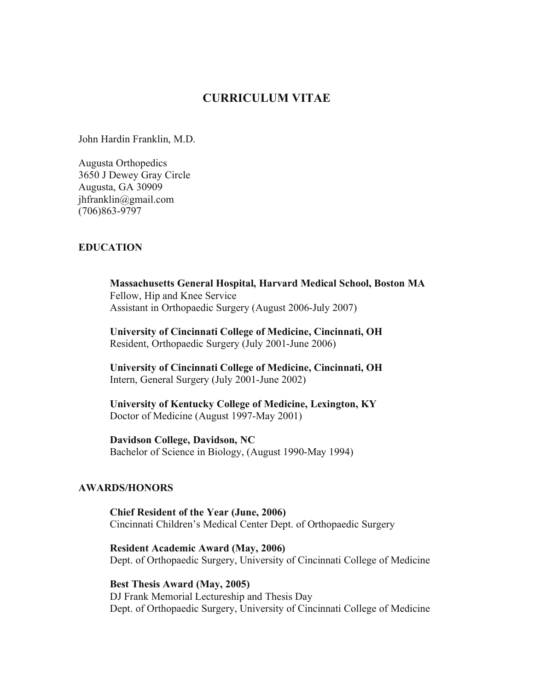# **CURRICULUM VITAE**

John Hardin Franklin, M.D.

Augusta Orthopedics 3650 J Dewey Gray Circle Augusta, GA 30909 jhfranklin@gmail.com (706)863-9797

## **EDUCATION**

**Massachusetts General Hospital, Harvard Medical School, Boston MA**  Fellow, Hip and Knee Service Assistant in Orthopaedic Surgery (August 2006-July 2007)

**University of Cincinnati College of Medicine, Cincinnati, OH**  Resident, Orthopaedic Surgery (July 2001-June 2006)

**University of Cincinnati College of Medicine, Cincinnati, OH**  Intern, General Surgery (July 2001-June 2002)

**University of Kentucky College of Medicine, Lexington, KY**  Doctor of Medicine (August 1997-May 2001)

**Davidson College, Davidson, NC** 

Bachelor of Science in Biology, (August 1990-May 1994)

## **AWARDS/HONORS**

**Chief Resident of the Year (June, 2006)**  Cincinnati Children's Medical Center Dept. of Orthopaedic Surgery

**Resident Academic Award (May, 2006)**  Dept. of Orthopaedic Surgery, University of Cincinnati College of Medicine

**Best Thesis Award (May, 2005)**  DJ Frank Memorial Lectureship and Thesis Day Dept. of Orthopaedic Surgery, University of Cincinnati College of Medicine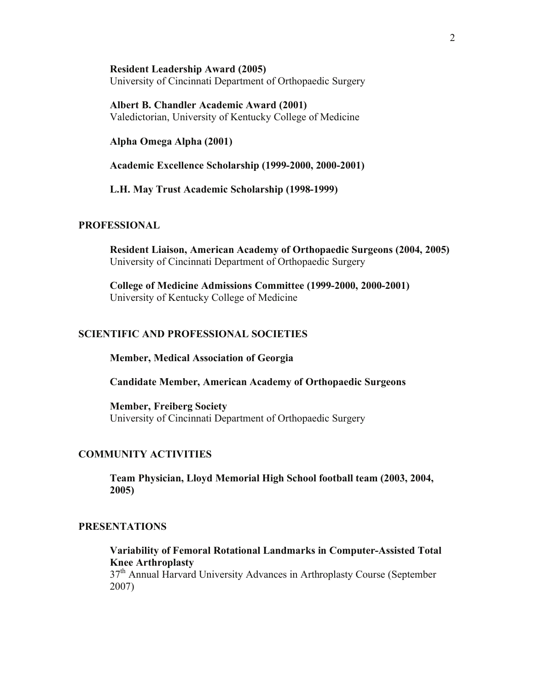**Resident Leadership Award (2005)**  University of Cincinnati Department of Orthopaedic Surgery

**Albert B. Chandler Academic Award (2001)**  Valedictorian, University of Kentucky College of Medicine

**Alpha Omega Alpha (2001)** 

**Academic Excellence Scholarship (1999-2000, 2000-2001)** 

**L.H. May Trust Academic Scholarship (1998-1999)** 

# **PROFESSIONAL**

**Resident Liaison, American Academy of Orthopaedic Surgeons (2004, 2005)**  University of Cincinnati Department of Orthopaedic Surgery

**College of Medicine Admissions Committee (1999-2000, 2000-2001)**  University of Kentucky College of Medicine

#### **SCIENTIFIC AND PROFESSIONAL SOCIETIES**

 **Member, Medical Association of Georgia** 

 **Candidate Member, American Academy of Orthopaedic Surgeons** 

 **Member, Freiberg Society**  University of Cincinnati Department of Orthopaedic Surgery

#### **COMMUNITY ACTIVITIES**

**Team Physician, Lloyd Memorial High School football team (2003, 2004, 2005)** 

## **PRESENTATIONS**

**Variability of Femoral Rotational Landmarks in Computer-Assisted Total Knee Arthroplasty** 

37<sup>th</sup> Annual Harvard University Advances in Arthroplasty Course (September 2007)